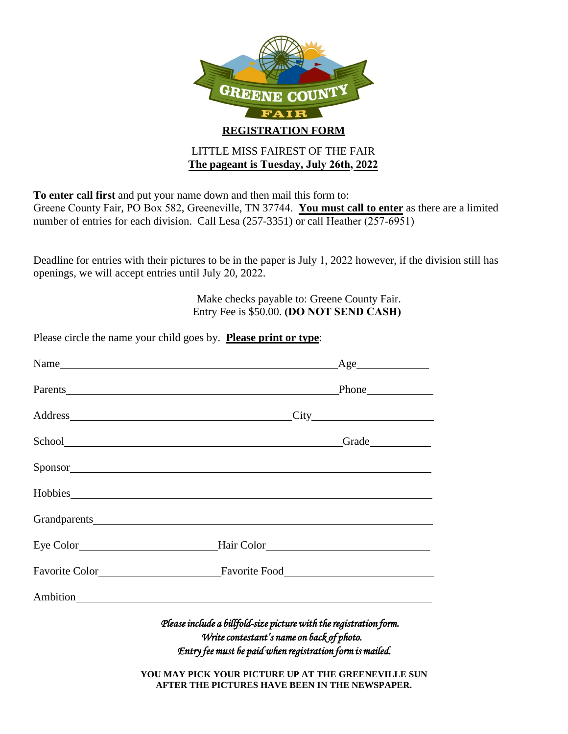

# **The pageant is Tuesday, July 26th, 2022**

**To enter call first** and put your name down and then mail this form to:

Please circle the name your child goes by. **Please print or type**:

Greene County Fair, PO Box 582, Greeneville, TN 37744. **You must call to enter** as there are a limited number of entries for each division. Call Lesa (257-3351) or call Heather (257-6951)

Deadline for entries with their pictures to be in the paper is July 1, 2022 however, if the division still has openings, we will accept entries until July 20, 2022.

> Make checks payable to: Greene County Fair. Entry Fee is \$50.00. **(DO NOT SEND CASH)**

|                                                                                                                                                                                                                                    | Name<br>$\angle$ Age                                                                                                                                                                                                           |
|------------------------------------------------------------------------------------------------------------------------------------------------------------------------------------------------------------------------------------|--------------------------------------------------------------------------------------------------------------------------------------------------------------------------------------------------------------------------------|
|                                                                                                                                                                                                                                    |                                                                                                                                                                                                                                |
|                                                                                                                                                                                                                                    | Address City City                                                                                                                                                                                                              |
|                                                                                                                                                                                                                                    |                                                                                                                                                                                                                                |
|                                                                                                                                                                                                                                    | Sponsor and the second second second second second second second second second second second second second second second second second second second second second second second second second second second second second sec |
|                                                                                                                                                                                                                                    | Hobbies https://www.com/communications/communications/communications/communications/communications/communications/communications/communications/communications/communications/communications/communications/communications/com |
|                                                                                                                                                                                                                                    |                                                                                                                                                                                                                                |
|                                                                                                                                                                                                                                    |                                                                                                                                                                                                                                |
|                                                                                                                                                                                                                                    |                                                                                                                                                                                                                                |
|                                                                                                                                                                                                                                    |                                                                                                                                                                                                                                |
| Please include a billfold-size picture with the registration form.<br>Write contestant's name on back of photo.<br>Entry fee must be paid when registration form is mailed.<br>YOU MAY PICK YOUR PICTURE UP AT THE GREENEVILLE SUN |                                                                                                                                                                                                                                |
|                                                                                                                                                                                                                                    | AFTER THE PICTURES HAVE BEEN IN THE NEWSPAPER.                                                                                                                                                                                 |